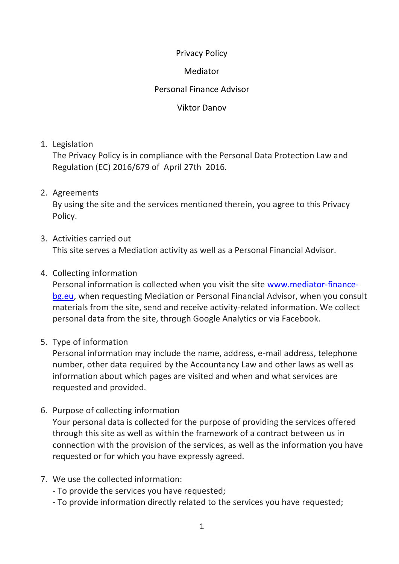### Privacy Policy

### Mediator

### Personal Finance Advisor

#### Viktor Danov

1. Legislation

The Privacy Policy is in compliance with the Personal Data Protection Law and Regulation (EC) 2016/679 of April 27th 2016.

### 2. Agreements

By using the site and the services mentioned therein, you agree to this Privacy Policy.

3. Activities carried out

This site serves a Mediation activity as well as a Personal Financial Advisor.

### 4. Collecting information

Personal information is collected when you visit the site [www.mediator-finance](http://www.mediator-finance-bg.eu/)[bg.eu,](http://www.mediator-finance-bg.eu/) when requesting Mediation or Personal Financial Advisor, when you consult materials from the site, send and receive activity-related information. We collect personal data from the site, through Google Analytics or via Facebook.

5. Type of information

Personal information may include the name, address, e-mail address, telephone number, other data required by the Accountancy Law and other laws as well as information about which pages are visited and when and what services are requested and provided.

6. Purpose of collecting information

Your personal data is collected for the purpose of providing the services offered through this site as well as within the framework of a contract between us in connection with the provision of the services, as well as the information you have requested or for which you have expressly agreed.

- 7. We use the collected information:
	- To provide the services you have requested;
	- To provide information directly related to the services you have requested;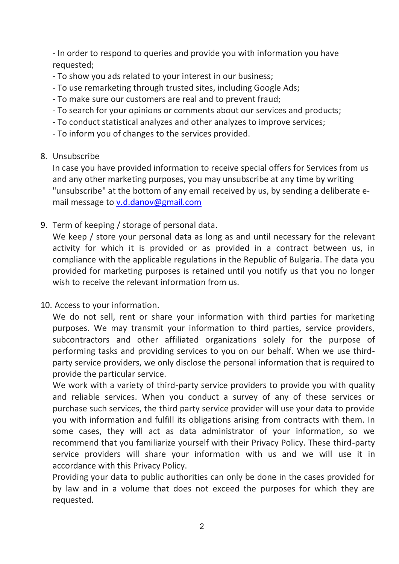- In order to respond to queries and provide you with information you have requested;

- To show you ads related to your interest in our business;
- To use remarketing through trusted sites, including Google Ads;
- To make sure our customers are real and to prevent fraud;
- To search for your opinions or comments about our services and products;
- To conduct statistical analyzes and other analyzes to improve services;
- To inform you of changes to the services provided.

### 8. Unsubscribe

In case you have provided information to receive special offers for Services from us and any other marketing purposes, you may unsubscribe at any time by writing "unsubscribe" at the bottom of any email received by us, by sending a deliberate email message to [v.d.danov@gmail.com](mailto:v.d.danov@gmail.com)

9. Term of keeping / storage of personal data.

We keep / store your personal data as long as and until necessary for the relevant activity for which it is provided or as provided in a contract between us, in compliance with the applicable regulations in the Republic of Bulgaria. The data you provided for marketing purposes is retained until you notify us that you no longer wish to receive the relevant information from us.

10. Access to your information.

We do not sell, rent or share your information with third parties for marketing purposes. We may transmit your information to third parties, service providers, subcontractors and other affiliated organizations solely for the purpose of performing tasks and providing services to you on our behalf. When we use thirdparty service providers, we only disclose the personal information that is required to provide the particular service.

We work with a variety of third-party service providers to provide you with quality and reliable services. When you conduct a survey of any of these services or purchase such services, the third party service provider will use your data to provide you with information and fulfill its obligations arising from contracts with them. In some cases, they will act as data administrator of your information, so we recommend that you familiarize yourself with their Privacy Policy. These third-party service providers will share your information with us and we will use it in accordance with this Privacy Policy.

Providing your data to public authorities can only be done in the cases provided for by law and in a volume that does not exceed the purposes for which they are requested.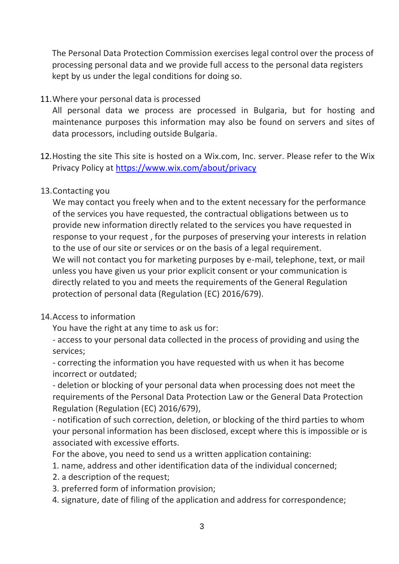The Personal Data Protection Commission exercises legal control over the process of processing personal data and we provide full access to the personal data registers kept by us under the legal conditions for doing so.

# 11.Where your personal data is processed

All personal data we process are processed in Bulgaria, but for hosting and maintenance purposes this information may also be found on servers and sites of data processors, including outside Bulgaria.

12.Hosting the site This site is hosted on a Wix.com, Inc. server. Please refer to the Wix Privacy Policy at<https://www.wix.com/about/privacy>

# 13.Contacting you

We may contact you freely when and to the extent necessary for the performance of the services you have requested, the contractual obligations between us to provide new information directly related to the services you have requested in response to your request , for the purposes of preserving your interests in relation to the use of our site or services or on the basis of a legal requirement. We will not contact you for marketing purposes by e-mail, telephone, text, or mail unless you have given us your prior explicit consent or your communication is directly related to you and meets the requirements of the General Regulation protection of personal data (Regulation (EC) 2016/679).

# 14.Access to information

You have the right at any time to ask us for:

- access to your personal data collected in the process of providing and using the services;

- correcting the information you have requested with us when it has become incorrect or outdated;

- deletion or blocking of your personal data when processing does not meet the requirements of the Personal Data Protection Law or the General Data Protection Regulation (Regulation (EC) 2016/679),

- notification of such correction, deletion, or blocking of the third parties to whom your personal information has been disclosed, except where this is impossible or is associated with excessive efforts.

For the above, you need to send us a written application containing:

- 1. name, address and other identification data of the individual concerned;
- 2. a description of the request;
- 3. preferred form of information provision;
- 4. signature, date of filing of the application and address for correspondence;